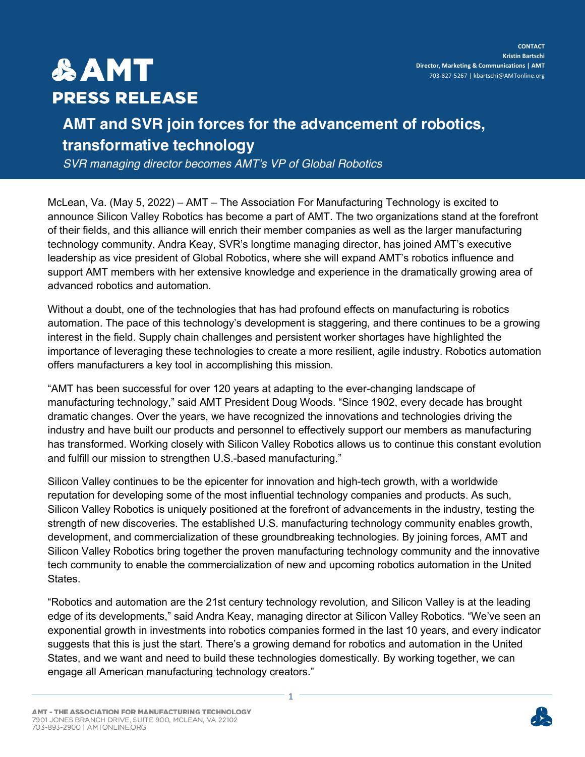## **&AMT PRESS RELEASE**

## **AMT and SVR join forces for the advancement of robotics, transformative technology**

*SVR managing director becomes AMT's VP of Global Robotics*

McLean, Va. (May 5, 2022) – AMT – The Association For Manufacturing Technology is excited to announce Silicon Valley Robotics has become a part of AMT. The two organizations stand at the forefront of their fields, and this alliance will enrich their member companies as well as the larger manufacturing technology community. Andra Keay, SVR's longtime managing director, has joined AMT's executive leadership as vice president of Global Robotics, where she will expand AMT's robotics influence and support AMT members with her extensive knowledge and experience in the dramatically growing area of advanced robotics and automation.

Without a doubt, one of the technologies that has had profound effects on manufacturing is robotics automation. The pace of this technology's development is staggering, and there continues to be a growing interest in the field. Supply chain challenges and persistent worker shortages have highlighted the importance of leveraging these technologies to create a more resilient, agile industry. Robotics automation offers manufacturers a key tool in accomplishing this mission.

"AMT has been successful for over 120 years at adapting to the ever-changing landscape of manufacturing technology," said AMT President Doug Woods. "Since 1902, every decade has brought dramatic changes. Over the years, we have recognized the innovations and technologies driving the industry and have built our products and personnel to effectively support our members as manufacturing has transformed. Working closely with Silicon Valley Robotics allows us to continue this constant evolution and fulfill our mission to strengthen U.S.-based manufacturing."

Silicon Valley continues to be the epicenter for innovation and high-tech growth, with a worldwide reputation for developing some of the most influential technology companies and products. As such, Silicon Valley Robotics is uniquely positioned at the forefront of advancements in the industry, testing the strength of new discoveries. The established U.S. manufacturing technology community enables growth, development, and commercialization of these groundbreaking technologies. By joining forces, AMT and Silicon Valley Robotics bring together the proven manufacturing technology community and the innovative tech community to enable the commercialization of new and upcoming robotics automation in the United States.

"Robotics and automation are the 21st century technology revolution, and Silicon Valley is at the leading edge of its developments," said Andra Keay, managing director at Silicon Valley Robotics. "We've seen an exponential growth in investments into robotics companies formed in the last 10 years, and every indicator suggests that this is just the start. There's a growing demand for robotics and automation in the United States, and we want and need to build these technologies domestically. By working together, we can engage all American manufacturing technology creators."